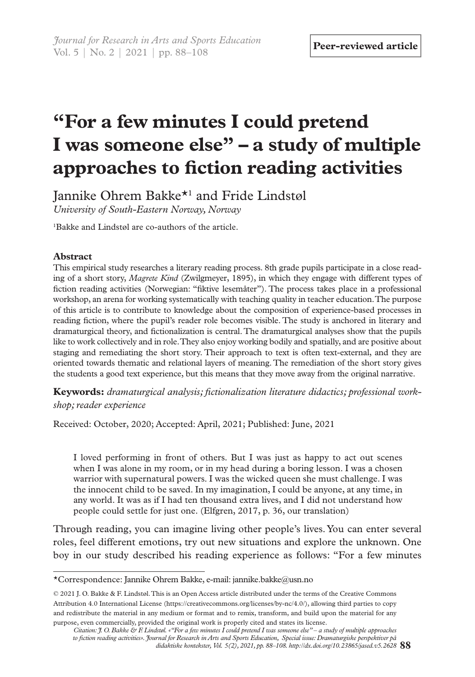# **"For a few minutes I could pretend I was someone else" – a study of multiple approaches to fiction reading activities**

Jannike Ohrem Bakke\*1 and Fride Lindstøl *University of South-Eastern Norway, Norway*

1 Bakke and Lindstøl are co-authors of the article.

## **Abstract**

This empirical study researches a literary reading process. 8th grade pupils participate in a close reading of a short story, *Magrete Kind* (Zwilgmeyer, 1895), in which they engage with different types of fiction reading activities (Norwegian: "fiktive lesemåter"). The process takes place in a professional workshop, an arena for working systematically with teaching quality in teacher education. The purpose of this article is to contribute to knowledge about the composition of experience-based processes in reading fiction, where the pupil's reader role becomes visible. The study is anchored in literary and dramaturgical theory, and fictionalization is central. The dramaturgical analyses show that the pupils like to work collectively and in role. They also enjoy working bodily and spatially, and are positive about staging and remediating the short story. Their approach to text is often text-external, and they are oriented towards thematic and relational layers of meaning. The remediation of the short story gives the students a good text experience, but this means that they move away from the original narrative.

**Keywords:** *dramaturgical analysis; fictionalization literature didactics; professional workshop; reader experience*

Received: October, 2020; Accepted: April, 2021; Published: June, 2021

I loved performing in front of others. But I was just as happy to act out scenes when I was alone in my room, or in my head during a boring lesson. I was a chosen warrior with supernatural powers. I was the wicked queen she must challenge. I was the innocent child to be saved. In my imagination, I could be anyone, at any time, in any world. It was as if I had ten thousand extra lives, and I did not understand how people could settle for just one. (Elfgren, 2017, p. 36, our translation)

Through reading, you can imagine living other people's lives. You can enter several roles, feel different emotions, try out new situations and explore the unknown. One boy in our study described his reading experience as follows: "For a few minutes

<sup>\*</sup>Correspondence: Jannike Ohrem Bakke, e-mail: [jannike.bakke@usn.no](mailto:jannike.bakke@usn.no)

<sup>© 2021</sup> J. O. Bakke & F. Lindstøl. This is an Open Access article distributed under the terms of the Creative Commons Attribution 4.0 International License (https://creativecommons.org/licenses/by-nc/4.0/), allowing third parties to copy and redistribute the material in any medium or format and to remix, transform, and build upon the material for any purpose, even commercially, provided the original work is properly cited and states its license.

**<sup>88</sup>** *didaktiske kontekster, Vol. 5(2), 2021, pp. 88–108. http://dx.doi.org/10.23865/jased.v5.2628 Citation: J. O. Bakke & F. Lindstøl. «"For a few minutes I could pretend I was someone else" – a study of multiple approaches to fiction reading activities». Journal for Research in Arts and Sports Education, Special issue: Dramaturgiske perspektiver på*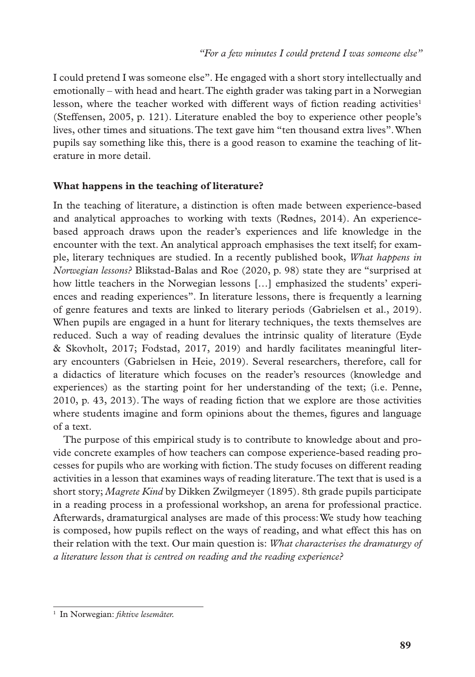I could pretend I was someone else". He engaged with a short story intellectually and emotionally – with head and heart. The eighth grader was taking part in a Norwegian lesson, where the teacher worked with different ways of fiction reading activities<sup>1</sup> (Steffensen, 2005, p. 121). Literature enabled the boy to experience other people's lives, other times and situations. The text gave him "ten thousand extra lives". When pupils say something like this, there is a good reason to examine the teaching of literature in more detail.

## **What happens in the teaching of literature?**

In the teaching of literature, a distinction is often made between experience-based and analytical approaches to working with texts (Rødnes, 2014). An experiencebased approach draws upon the reader's experiences and life knowledge in the encounter with the text. An analytical approach emphasises the text itself; for example, literary techniques are studied. In a recently published book, *What happens in Norwegian lessons?* Blikstad-Balas and Roe (2020, p. 98) state they are "surprised at how little teachers in the Norwegian lessons […] emphasized the students' experiences and reading experiences". In literature lessons, there is frequently a learning of genre features and texts are linked to literary periods (Gabrielsen et al., 2019). When pupils are engaged in a hunt for literary techniques, the texts themselves are reduced. Such a way of reading devalues the intrinsic quality of literature (Eyde & Skovholt, 2017; Fodstad, 2017, 2019) and hardly facilitates meaningful literary encounters (Gabrielsen in Heie, 2019). Several researchers, therefore, call for a didactics of literature which focuses on the reader's resources (knowledge and experiences) as the starting point for her understanding of the text; (i.e. Penne, 2010, p. 43, 2013). The ways of reading fiction that we explore are those activities where students imagine and form opinions about the themes, figures and language of a text.

The purpose of this empirical study is to contribute to knowledge about and provide concrete examples of how teachers can compose experience-based reading processes for pupils who are working with fiction. The study focuses on different reading activities in a lesson that examines ways of reading literature. The text that is used is a short story; *Magrete Kind* by Dikken Zwilgmeyer (1895). 8th grade pupils participate in a reading process in a professional workshop, an arena for professional practice. Afterwards, dramaturgical analyses are made of this process: We study how teaching is composed, how pupils reflect on the ways of reading, and what effect this has on their relation with the text. Our main question is: *What characterises the dramaturgy of a literature lesson that is centred on reading and the reading experience?*

<sup>1</sup> In Norwegian: *fiktive lesemåter.*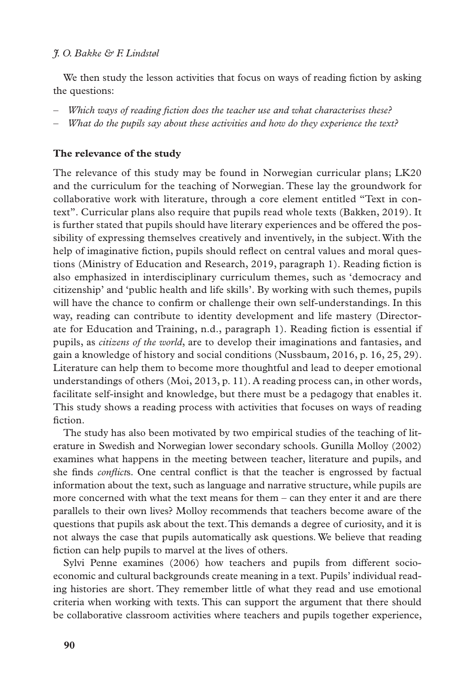We then study the lesson activities that focus on ways of reading fiction by asking the questions:

- *Which ways of reading fiction does the teacher use and what characterises these?*
- *What do the pupils say about these activities and how do they experience the text?*

## **The relevance of the study**

The relevance of this study may be found in Norwegian curricular plans; LK20 and the curriculum for the teaching of Norwegian. These lay the groundwork for collaborative work with literature, through a core element entitled "Text in context". Curricular plans also require that pupils read whole texts (Bakken, 2019). It is further stated that pupils should have literary experiences and be offered the possibility of expressing themselves creatively and inventively, in the subject. With the help of imaginative fiction, pupils should reflect on central values and moral questions (Ministry of Education and Research, 2019, paragraph 1). Reading fiction is also emphasized in interdisciplinary curriculum themes, such as 'democracy and citizenship' and 'public health and life skills'. By working with such themes, pupils will have the chance to confirm or challenge their own self-understandings. In this way, reading can contribute to identity development and life mastery (Directorate for Education and Training, n.d., paragraph 1). Reading fiction is essential if pupils, as *citizens of the world*, are to develop their imaginations and fantasies, and gain a knowledge of history and social conditions (Nussbaum, 2016, p. 16, 25, 29). Literature can help them to become more thoughtful and lead to deeper emotional understandings of others (Moi, 2013, p. 11). A reading process can, in other words, facilitate self-insight and knowledge, but there must be a pedagogy that enables it. This study shows a reading process with activities that focuses on ways of reading fiction.

The study has also been motivated by two empirical studies of the teaching of literature in Swedish and Norwegian lower secondary schools. Gunilla Molloy (2002) examines what happens in the meeting between teacher, literature and pupils, and she finds *conflict*s. One central conflict is that the teacher is engrossed by factual information about the text, such as language and narrative structure, while pupils are more concerned with what the text means for them – can they enter it and are there parallels to their own lives? Molloy recommends that teachers become aware of the questions that pupils ask about the text. This demands a degree of curiosity, and it is not always the case that pupils automatically ask questions. We believe that reading fiction can help pupils to marvel at the lives of others.

Sylvi Penne examines (2006) how teachers and pupils from different socioeconomic and cultural backgrounds create meaning in a text. Pupils' individual reading histories are short. They remember little of what they read and use emotional criteria when working with texts. This can support the argument that there should be collaborative classroom activities where teachers and pupils together experience,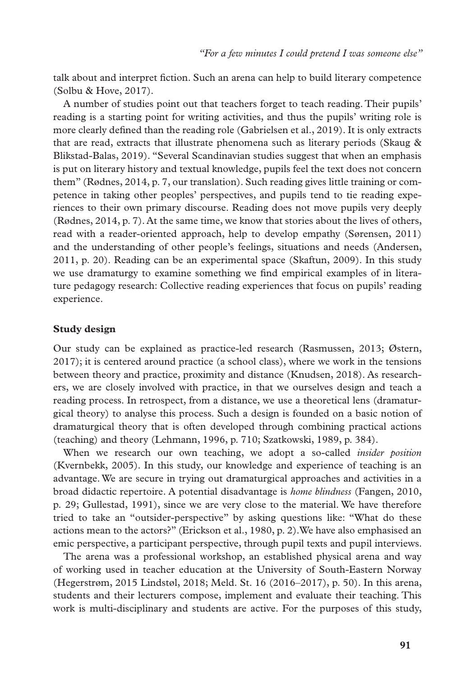talk about and interpret fiction. Such an arena can help to build literary competence (Solbu & Hove, 2017).

A number of studies point out that teachers forget to teach reading. Their pupils' reading is a starting point for writing activities, and thus the pupils' writing role is more clearly defined than the reading role (Gabrielsen et al., 2019). It is only extracts that are read, extracts that illustrate phenomena such as literary periods (Skaug & Blikstad-Balas, 2019). "Several Scandinavian studies suggest that when an emphasis is put on literary history and textual knowledge, pupils feel the text does not concern them" (Rødnes, 2014, p. 7, our translation). Such reading gives little training or competence in taking other peoples' perspectives, and pupils tend to tie reading experiences to their own primary discourse. Reading does not move pupils very deeply (Rødnes, 2014, p. 7). At the same time, we know that stories about the lives of others, read with a reader-oriented approach, help to develop empathy (Sørensen, 2011) and the understanding of other people's feelings, situations and needs (Andersen, 2011, p. 20). Reading can be an experimental space (Skaftun, 2009). In this study we use dramaturgy to examine something we find empirical examples of in literature pedagogy research: Collective reading experiences that focus on pupils' reading experience.

### **Study design**

Our study can be explained as practice-led research (Rasmussen, 2013; Østern, 2017); it is centered around practice (a school class), where we work in the tensions between theory and practice, proximity and distance (Knudsen, 2018). As researchers, we are closely involved with practice, in that we ourselves design and teach a reading process. In retrospect, from a distance, we use a theoretical lens (dramaturgical theory) to analyse this process. Such a design is founded on a basic notion of dramaturgical theory that is often developed through combining practical actions (teaching) and theory (Lehmann, 1996, p. 710; Szatkowski, 1989, p. 384).

When we research our own teaching, we adopt a so-called *insider position* (Kvernbekk, 2005). In this study, our knowledge and experience of teaching is an advantage. We are secure in trying out dramaturgical approaches and activities in a broad didactic repertoire. A potential disadvantage is *home blindness* (Fangen, 2010, p. 29; Gullestad, 1991), since we are very close to the material. We have therefore tried to take an "outsider-perspective" by asking questions like: "What do these actions mean to the actors?" (Erickson et al., 1980, p. 2).We have also emphasised an emic perspective, a participant perspective, through pupil texts and pupil interviews.

The arena was a professional workshop, an established physical arena and way of working used in teacher education at the University of South-Eastern Norway (Hegerstrøm, 2015 Lindstøl, 2018; Meld. St. 16 (2016–2017), p. 50). In this arena, students and their lecturers compose, implement and evaluate their teaching. This work is multi-disciplinary and students are active. For the purposes of this study,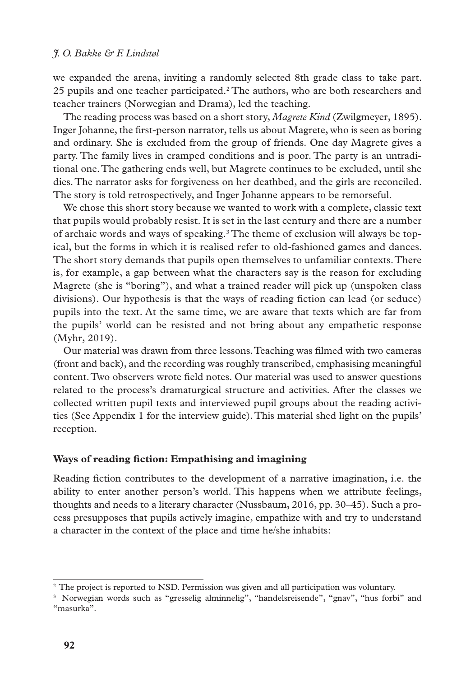we expanded the arena, inviting a randomly selected 8th grade class to take part. 25 pupils and one teacher participated.2 The authors, who are both researchers and teacher trainers (Norwegian and Drama), led the teaching.

The reading process was based on a short story, *Magrete Kind* (Zwilgmeyer, 1895). Inger Johanne, the first-person narrator, tells us about Magrete, who is seen as boring and ordinary. She is excluded from the group of friends. One day Magrete gives a party. The family lives in cramped conditions and is poor. The party is an untraditional one. The gathering ends well, but Magrete continues to be excluded, until she dies. The narrator asks for forgiveness on her deathbed, and the girls are reconciled. The story is told retrospectively, and Inger Johanne appears to be remorseful.

We chose this short story because we wanted to work with a complete, classic text that pupils would probably resist. It is set in the last century and there are a number of archaic words and ways of speaking.<sup>3</sup> The theme of exclusion will always be topical, but the forms in which it is realised refer to old-fashioned games and dances. The short story demands that pupils open themselves to unfamiliar contexts. There is, for example, a gap between what the characters say is the reason for excluding Magrete (she is "boring"), and what a trained reader will pick up (unspoken class divisions). Our hypothesis is that the ways of reading fiction can lead (or seduce) pupils into the text. At the same time, we are aware that texts which are far from the pupils' world can be resisted and not bring about any empathetic response (Myhr, 2019).

Our material was drawn from three lessons. Teaching was filmed with two cameras (front and back), and the recording was roughly transcribed, emphasising meaningful content. Two observers wrote field notes. Our material was used to answer questions related to the process's dramaturgical structure and activities. After the classes we collected written pupil texts and interviewed pupil groups about the reading activities (See Appendix 1 for the interview guide). This material shed light on the pupils' reception.

### **Ways of reading fiction: Empathising and imagining**

Reading fiction contributes to the development of a narrative imagination, i.e. the ability to enter another person's world. This happens when we attribute feelings, thoughts and needs to a literary character (Nussbaum, 2016, pp. 30–45). Such a process presupposes that pupils actively imagine, empathize with and try to understand a character in the context of the place and time he/she inhabits:

<sup>2</sup> The project is reported to NSD. Permission was given and all participation was voluntary.

<sup>&</sup>lt;sup>3</sup> Norwegian words such as "gresselig alminnelig", "handelsreisende", "gnav", "hus forbi" and "masurka".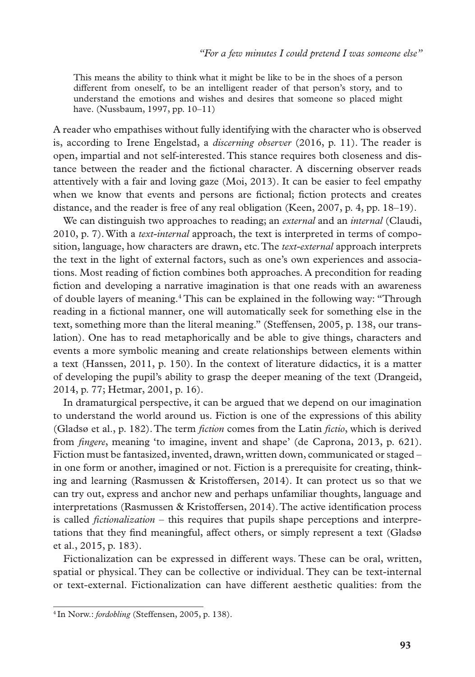This means the ability to think what it might be like to be in the shoes of a person different from oneself, to be an intelligent reader of that person's story, and to understand the emotions and wishes and desires that someone so placed might have. (Nussbaum, 1997, pp. 10–11)

A reader who empathises without fully identifying with the character who is observed is, according to Irene Engelstad, a *discerning observer* (2016, p. 11). The reader is open, impartial and not self-interested. This stance requires both closeness and distance between the reader and the fictional character. A discerning observer reads attentively with a fair and loving gaze (Moi, 2013). It can be easier to feel empathy when we know that events and persons are fictional; fiction protects and creates distance, and the reader is free of any real obligation (Keen, 2007, p. 4, pp. 18–19).

We can distinguish two approaches to reading; an *external* and an *internal* (Claudi, 2010, p. 7). With a *text-internal* approach, the text is interpreted in terms of composition, language, how characters are drawn, etc. The *text-external* approach interprets the text in the light of external factors, such as one's own experiences and associations. Most reading of fiction combines both approaches. A precondition for reading fiction and developing a narrative imagination is that one reads with an awareness of double layers of meaning.<sup>4</sup> This can be explained in the following way: "Through reading in a fictional manner, one will automatically seek for something else in the text, something more than the literal meaning." (Steffensen, 2005, p. 138, our translation). One has to read metaphorically and be able to give things, characters and events a more symbolic meaning and create relationships between elements within a text (Hanssen, 2011, p. 150). In the context of literature didactics, it is a matter of developing the pupil's ability to grasp the deeper meaning of the text (Drangeid, 2014, p. 77; Hetmar, 2001, p. 16).

In dramaturgical perspective, it can be argued that we depend on our imagination to understand the world around us. Fiction is one of the expressions of this ability (Gladsø et al., p. 182). The term *fiction* comes from the Latin *fictio*, which is derived from *fingere*, meaning 'to imagine, invent and shape' (de Caprona, 2013, p. 621). Fiction must be fantasized, invented, drawn, written down, communicated or staged – in one form or another, imagined or not. Fiction is a prerequisite for creating, thinking and learning (Rasmussen & Kristoffersen, 2014). It can protect us so that we can try out, express and anchor new and perhaps unfamiliar thoughts, language and interpretations (Rasmussen & Kristoffersen, 2014). The active identification process is called *fictionalization* – this requires that pupils shape perceptions and interpretations that they find meaningful, affect others, or simply represent a text (Gladsø et al., 2015, p. 183).

Fictionalization can be expressed in different ways. These can be oral, written, spatial or physical. They can be collective or individual. They can be text-internal or text-external. Fictionalization can have different aesthetic qualities: from the

<sup>4</sup> In Norw.: *fordobling* (Steffensen, 2005, p. 138).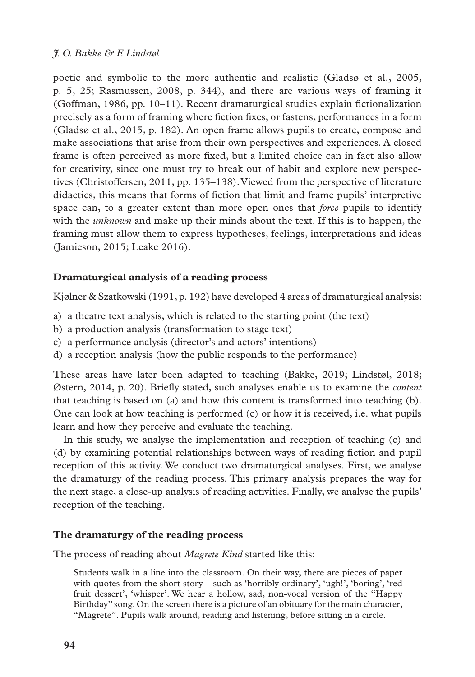poetic and symbolic to the more authentic and realistic (Gladsø et al., 2005, p. 5, 25; Rasmussen, 2008, p. 344), and there are various ways of framing it (Goffman, 1986, pp. 10–11). Recent dramaturgical studies explain fictionalization precisely as a form of framing where fiction fixes, or fastens, performances in a form (Gladsø et al., 2015, p. 182). An open frame allows pupils to create, compose and make associations that arise from their own perspectives and experiences. A closed frame is often perceived as more fixed, but a limited choice can in fact also allow for creativity, since one must try to break out of habit and explore new perspectives (Christoffersen, 2011, pp. 135–138). Viewed from the perspective of literature didactics, this means that forms of fiction that limit and frame pupils' interpretive space can, to a greater extent than more open ones that *force* pupils to identify with the *unknown* and make up their minds about the text. If this is to happen, the framing must allow them to express hypotheses, feelings, interpretations and ideas (Jamieson, 2015; Leake 2016).

## **Dramaturgical analysis of a reading process**

Kjølner & Szatkowski (1991, p. 192) have developed 4 areas of dramaturgical analysis:

- a) a theatre text analysis, which is related to the starting point (the text)
- b) a production analysis (transformation to stage text)
- c) a performance analysis (director's and actors' intentions)
- d) a reception analysis (how the public responds to the performance)

These areas have later been adapted to teaching (Bakke, 2019; Lindstøl, 2018; Østern, 2014, p. 20). Briefly stated, such analyses enable us to examine the *content* that teaching is based on (a) and how this content is transformed into teaching (b). One can look at how teaching is performed (c) or how it is received, i.e. what pupils learn and how they perceive and evaluate the teaching.

In this study, we analyse the implementation and reception of teaching (c) and (d) by examining potential relationships between ways of reading fiction and pupil reception of this activity. We conduct two dramaturgical analyses. First, we analyse the dramaturgy of the reading process. This primary analysis prepares the way for the next stage, a close-up analysis of reading activities. Finally, we analyse the pupils' reception of the teaching.

## **The dramaturgy of the reading process**

The process of reading about *Magrete Kind* started like this:

Students walk in a line into the classroom. On their way, there are pieces of paper with quotes from the short story – such as 'horribly ordinary', 'ugh!', 'boring', 'red fruit dessert', 'whisper'. We hear a hollow, sad, non-vocal version of the "Happy Birthday" song. On the screen there is a picture of an obituary for the main character, "Magrete". Pupils walk around, reading and listening, before sitting in a circle.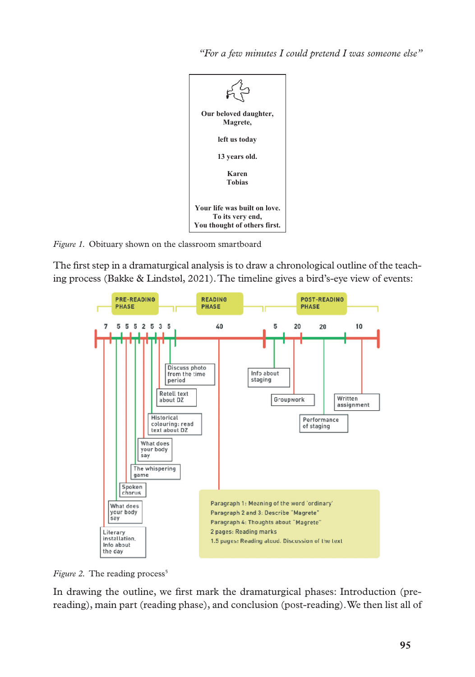*"For a few minutes I could pretend I was someone else"* 



*Figure 1.* Obituary shown on the classroom smartboard

The first step in a dramaturgical analysis is to draw a chronological outline of the teaching process (Bakke & Lindstøl, 2021). The timeline gives a bird's-eye view of events:



*Figure 2.* The reading process<sup>5</sup>

In drawing the outline, we first mark the dramaturgical phases: Introduction (prereading), main part (reading phase), and conclusion (post-reading). We then list all of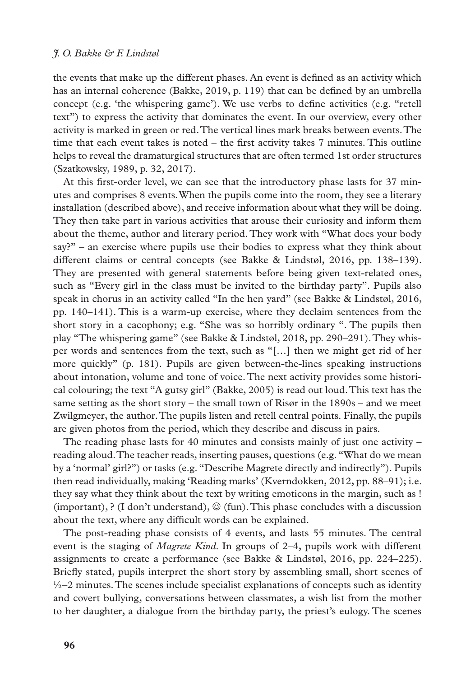the events that make up the different phases. An event is defined as an activity which has an internal coherence (Bakke, 2019, p. 119) that can be defined by an umbrella concept (e.g. 'the whispering game'). We use verbs to define activities (e.g. "retell text") to express the activity that dominates the event. In our overview, every other activity is marked in green or red. The vertical lines mark breaks between events. The time that each event takes is noted  $-$  the first activity takes  $7$  minutes. This outline helps to reveal the dramaturgical structures that are often termed 1st order structures (Szatkowsky, 1989, p. 32, 2017).

At this first-order level, we can see that the introductory phase lasts for 37 minutes and comprises 8 events. When the pupils come into the room, they see a literary installation (described above), and receive information about what they will be doing. They then take part in various activities that arouse their curiosity and inform them about the theme, author and literary period. They work with "What does your body say?" – an exercise where pupils use their bodies to express what they think about different claims or central concepts (see Bakke & Lindstøl, 2016, pp. 138–139). They are presented with general statements before being given text-related ones, such as "Every girl in the class must be invited to the birthday party". Pupils also speak in chorus in an activity called "In the hen yard" (see Bakke & Lindstøl, 2016, pp. 140–141). This is a warm-up exercise, where they declaim sentences from the short story in a cacophony; e.g. "She was so horribly ordinary ". The pupils then play "The whispering game" (see Bakke & Lindstøl, 2018, pp. 290–291). They whisper words and sentences from the text, such as "[…] then we might get rid of her more quickly" (p. 181). Pupils are given between-the-lines speaking instructions about intonation, volume and tone of voice. The next activity provides some historical colouring; the text "A gutsy girl" (Bakke, 2005) is read out loud. This text has the same setting as the short story – the small town of Risør in the 1890s – and we meet Zwilgmeyer, the author. The pupils listen and retell central points. Finally, the pupils are given photos from the period, which they describe and discuss in pairs.

The reading phase lasts for 40 minutes and consists mainly of just one activity  $$ reading aloud. The teacher reads, inserting pauses, questions (e.g. "What do we mean by a 'normal' girl?") or tasks (e.g. "Describe Magrete directly and indirectly"). Pupils then read individually, making 'Reading marks' (Kverndokken, 2012, pp. 88–91); i.e. they say what they think about the text by writing emoticons in the margin, such as ! (important), ? (I don't understand),  $\mathcal{O}$  (fun). This phase concludes with a discussion about the text, where any difficult words can be explained.

The post-reading phase consists of 4 events, and lasts 55 minutes. The central event is the staging of *Magrete Kind*. In groups of 2–4, pupils work with different assignments to create a performance (see Bakke & Lindstøl, 2016, pp. 224–225). Briefly stated, pupils interpret the short story by assembling small, short scenes of  $\frac{1}{2}$ –2 minutes. The scenes include specialist explanations of concepts such as identity and covert bullying, conversations between classmates, a wish list from the mother to her daughter, a dialogue from the birthday party, the priest's eulogy. The scenes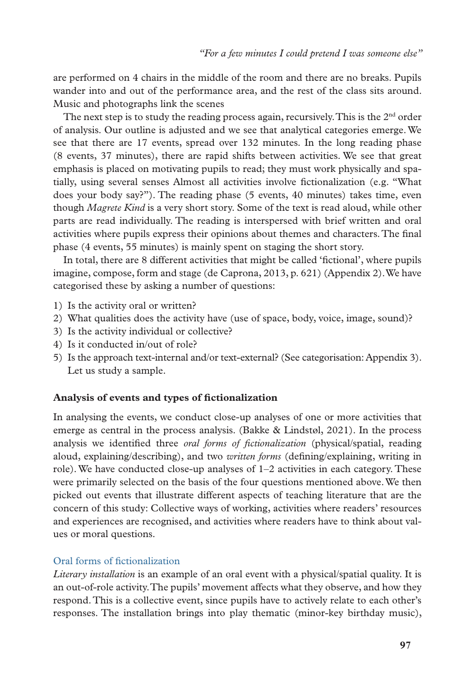are performed on 4 chairs in the middle of the room and there are no breaks. Pupils wander into and out of the performance area, and the rest of the class sits around. Music and photographs link the scenes

The next step is to study the reading process again, recursively. This is the  $2<sup>nd</sup>$  order of analysis. Our outline is adjusted and we see that analytical categories emerge. We see that there are 17 events, spread over 132 minutes. In the long reading phase (8 events, 37 minutes), there are rapid shifts between activities. We see that great emphasis is placed on motivating pupils to read; they must work physically and spatially, using several senses Almost all activities involve fictionalization (e.g. "What does your body say?"). The reading phase (5 events, 40 minutes) takes time, even though *Magrete Kind* is a very short story. Some of the text is read aloud, while other parts are read individually. The reading is interspersed with brief written and oral activities where pupils express their opinions about themes and characters. The final phase (4 events, 55 minutes) is mainly spent on staging the short story.

In total, there are 8 different activities that might be called 'fictional', where pupils imagine, compose, form and stage (de Caprona, 2013, p. 621) (Appendix 2). We have categorised these by asking a number of questions:

- 1) Is the activity oral or written?
- 2) What qualities does the activity have (use of space, body, voice, image, sound)?
- 3) Is the activity individual or collective?
- 4) Is it conducted in/out of role?
- 5) Is the approach text-internal and/or text-external? (See categorisation: Appendix 3). Let us study a sample.

## **Analysis of events and types of fictionalization**

In analysing the events, we conduct close-up analyses of one or more activities that emerge as central in the process analysis. (Bakke & Lindstøl, 2021). In the process analysis we identified three *oral forms of fictionalization* (physical/spatial, reading aloud, explaining/describing), and two *written forms* (defining/explaining, writing in role). We have conducted close-up analyses of  $1-2$  activities in each category. These were primarily selected on the basis of the four questions mentioned above. We then picked out events that illustrate different aspects of teaching literature that are the concern of this study: Collective ways of working, activities where readers' resources and experiences are recognised, and activities where readers have to think about values or moral questions.

## Oral forms of fictionalization

*Literary installation* is an example of an oral event with a physical/spatial quality. It is an out-of-role activity. The pupils' movement affects what they observe, and how they respond. This is a collective event, since pupils have to actively relate to each other's responses. The installation brings into play thematic (minor-key birthday music),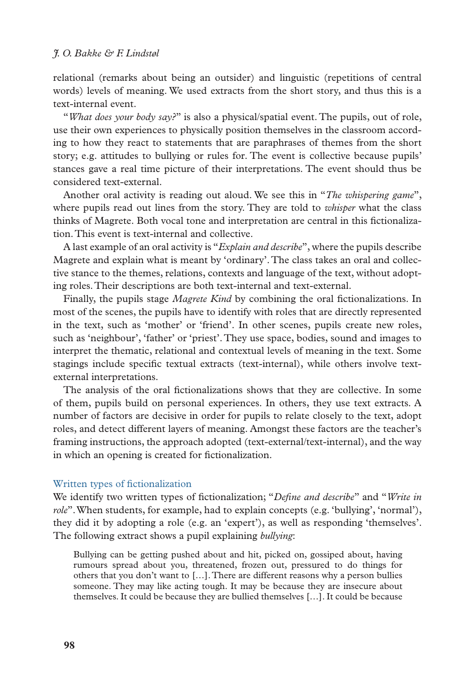relational (remarks about being an outsider) and linguistic (repetitions of central words) levels of meaning. We used extracts from the short story, and thus this is a text-internal event.

"*What does your body say?*" is also a physical/spatial event. The pupils, out of role, use their own experiences to physically position themselves in the classroom according to how they react to statements that are paraphrases of themes from the short story; e.g. attitudes to bullying or rules for. The event is collective because pupils' stances gave a real time picture of their interpretations. The event should thus be considered text-external.

Another oral activity is reading out aloud. We see this in "*The whispering game*", where pupils read out lines from the story. They are told to *whisper* what the class thinks of Magrete. Both vocal tone and interpretation are central in this fictionalization. This event is text-internal and collective.

A last example of an oral activity is "*Explain and describe*", where the pupils describe Magrete and explain what is meant by 'ordinary'. The class takes an oral and collective stance to the themes, relations, contexts and language of the text, without adopting roles. Their descriptions are both text-internal and text-external.

Finally, the pupils stage *Magrete Kind* by combining the oral fictionalizations. In most of the scenes, the pupils have to identify with roles that are directly represented in the text, such as 'mother' or 'friend'. In other scenes, pupils create new roles, such as 'neighbour', 'father' or 'priest'. They use space, bodies, sound and images to interpret the thematic, relational and contextual levels of meaning in the text. Some stagings include specific textual extracts (text-internal), while others involve textexternal interpretations.

The analysis of the oral fictionalizations shows that they are collective. In some of them, pupils build on personal experiences. In others, they use text extracts. A number of factors are decisive in order for pupils to relate closely to the text, adopt roles, and detect different layers of meaning. Amongst these factors are the teacher's framing instructions, the approach adopted (text-external/text-internal), and the way in which an opening is created for fictionalization.

#### Written types of fictionalization

We identify two written types of fictionalization; "*Define and describe*" and "*Write in role*". When students, for example, had to explain concepts (e.g. 'bullying', 'normal'), they did it by adopting a role (e.g. an 'expert'), as well as responding 'themselves'. The following extract shows a pupil explaining *bullying*:

Bullying can be getting pushed about and hit, picked on, gossiped about, having rumours spread about you, threatened, frozen out, pressured to do things for others that you don't want to […]. There are different reasons why a person bullies someone. They may like acting tough. It may be because they are insecure about themselves. It could be because they are bullied themselves […]. It could be because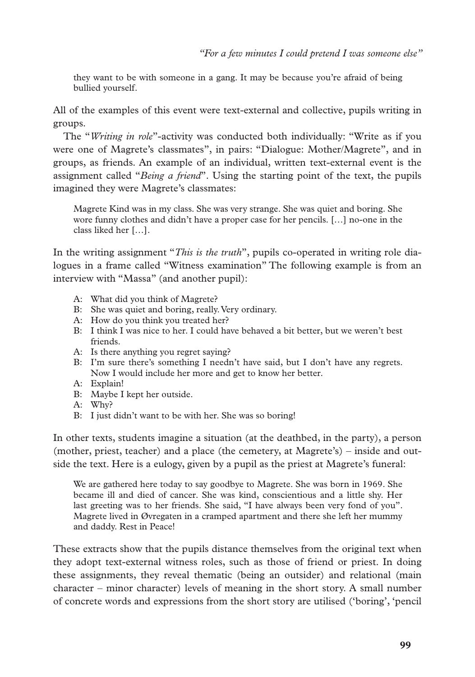they want to be with someone in a gang. It may be because you're afraid of being bullied yourself.

All of the examples of this event were text-external and collective, pupils writing in groups.

The "*Writing in role*"-activity was conducted both individually: "Write as if you were one of Magrete's classmates", in pairs: "Dialogue: Mother/Magrete", and in groups, as friends. An example of an individual, written text-external event is the assignment called "*Being a friend*". Using the starting point of the text, the pupils imagined they were Magrete's classmates:

Magrete Kind was in my class. She was very strange. She was quiet and boring. She wore funny clothes and didn't have a proper case for her pencils. […] no-one in the class liked her […].

In the writing assignment "*This is the truth*", pupils co-operated in writing role dialogues in a frame called "Witness examination" The following example is from an interview with "Massa" (and another pupil):

- A: What did you think of Magrete?
- B: She was quiet and boring, really. Very ordinary.
- A: How do you think you treated her?
- B: I think I was nice to her. I could have behaved a bit better, but we weren't best friends.
- A: Is there anything you regret saying?
- B: I'm sure there's something I needn't have said, but I don't have any regrets. Now I would include her more and get to know her better.
- A: Explain!
- B: Maybe I kept her outside.
- A: Why?
- B: I just didn't want to be with her. She was so boring!

In other texts, students imagine a situation (at the deathbed, in the party), a person (mother, priest, teacher) and a place (the cemetery, at Magrete's) – inside and outside the text. Here is a eulogy, given by a pupil as the priest at Magrete's funeral:

We are gathered here today to say goodbye to Magrete. She was born in 1969. She became ill and died of cancer. She was kind, conscientious and a little shy. Her last greeting was to her friends. She said, "I have always been very fond of you". Magrete lived in Øvregaten in a cramped apartment and there she left her mummy and daddy. Rest in Peace!

These extracts show that the pupils distance themselves from the original text when they adopt text-external witness roles, such as those of friend or priest. In doing these assignments, they reveal thematic (being an outsider) and relational (main character – minor character) levels of meaning in the short story. A small number of concrete words and expressions from the short story are utilised ('boring', 'pencil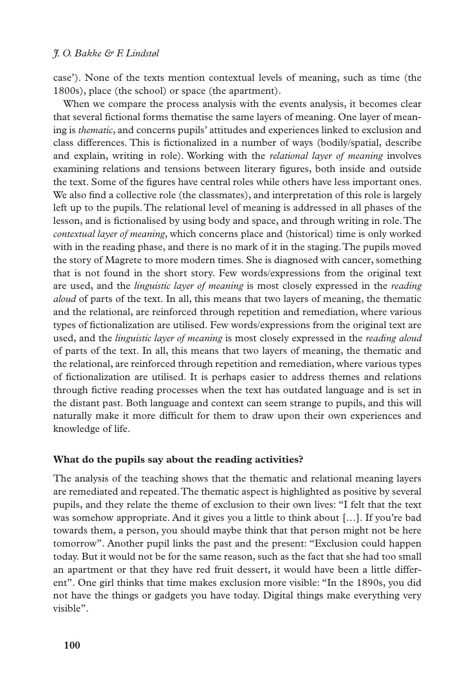case'). None of the texts mention contextual levels of meaning, such as time (the 1800s), place (the school) or space (the apartment).

When we compare the process analysis with the events analysis, it becomes clear that several fictional forms thematise the same layers of meaning. One layer of meaning is *thematic*, and concerns pupils' attitudes and experiences linked to exclusion and class differences. This is fictionalized in a number of ways (bodily/spatial, describe and explain, writing in role). Working with the *relational layer of meaning* involves examining relations and tensions between literary figures, both inside and outside the text. Some of the figures have central roles while others have less important ones. We also find a collective role (the classmates), and interpretation of this role is largely left up to the pupils. The relational level of meaning is addressed in all phases of the lesson, and is fictionalised by using body and space, and through writing in role. The *contextual layer of meaning*, which concerns place and (historical) time is only worked with in the reading phase, and there is no mark of it in the staging. The pupils moved the story of Magrete to more modern times. She is diagnosed with cancer, something that is not found in the short story. Few words/expressions from the original text are used, and the *linguistic layer of meaning* is most closely expressed in the *reading aloud* of parts of the text. In all, this means that two layers of meaning, the thematic and the relational, are reinforced through repetition and remediation, where various types of fictionalization are utilised. Few words/expressions from the original text are used, and the *linguistic layer of meaning* is most closely expressed in the *reading aloud* of parts of the text. In all, this means that two layers of meaning, the thematic and the relational, are reinforced through repetition and remediation, where various types of fictionalization are utilised. It is perhaps easier to address themes and relations through fictive reading processes when the text has outdated language and is set in the distant past. Both language and context can seem strange to pupils, and this will naturally make it more difficult for them to draw upon their own experiences and knowledge of life.

## **What do the pupils say about the reading activities?**

The analysis of the teaching shows that the thematic and relational meaning layers are remediated and repeated. The thematic aspect is highlighted as positive by several pupils, and they relate the theme of exclusion to their own lives: "I felt that the text was somehow appropriate. And it gives you a little to think about […]. If you're bad towards them, a person, you should maybe think that that person might not be here tomorrow". Another pupil links the past and the present: "Exclusion could happen today. But it would not be for the same reason, such as the fact that she had too small an apartment or that they have red fruit dessert, it would have been a little different". One girl thinks that time makes exclusion more visible: "In the 1890s, you did not have the things or gadgets you have today. Digital things make everything very visible".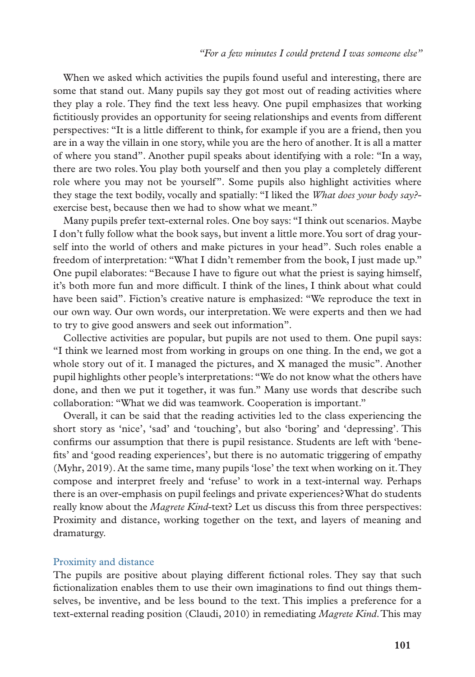When we asked which activities the pupils found useful and interesting, there are some that stand out. Many pupils say they got most out of reading activities where they play a role. They find the text less heavy. One pupil emphasizes that working fictitiously provides an opportunity for seeing relationships and events from different perspectives: "It is a little different to think, for example if you are a friend, then you are in a way the villain in one story, while you are the hero of another. It is all a matter of where you stand". Another pupil speaks about identifying with a role: "In a way, there are two roles. You play both yourself and then you play a completely different role where you may not be yourself". Some pupils also highlight activities where they stage the text bodily, vocally and spatially: "I liked the *What does your body say?* exercise best, because then we had to show what we meant."

Many pupils prefer text-external roles. One boy says: "I think out scenarios. Maybe I don't fully follow what the book says, but invent a little more. You sort of drag yourself into the world of others and make pictures in your head". Such roles enable a freedom of interpretation: "What I didn't remember from the book, I just made up." One pupil elaborates: "Because I have to figure out what the priest is saying himself, it's both more fun and more difficult. I think of the lines, I think about what could have been said". Fiction's creative nature is emphasized: "We reproduce the text in our own way. Our own words, our interpretation. We were experts and then we had to try to give good answers and seek out information".

Collective activities are popular, but pupils are not used to them. One pupil says: "I think we learned most from working in groups on one thing. In the end, we got a whole story out of it. I managed the pictures, and X managed the music". Another pupil highlights other people's interpretations: "We do not know what the others have done, and then we put it together, it was fun." Many use words that describe such collaboration: "What we did was teamwork. Cooperation is important."

Overall, it can be said that the reading activities led to the class experiencing the short story as 'nice', 'sad' and 'touching', but also 'boring' and 'depressing'. This confirms our assumption that there is pupil resistance. Students are left with 'benefits' and 'good reading experiences', but there is no automatic triggering of empathy (Myhr, 2019). At the same time, many pupils 'lose' the text when working on it. They compose and interpret freely and 'refuse' to work in a text-internal way. Perhaps there is an over-emphasis on pupil feelings and private experiences? What do students really know about the *Magrete Kind*-text? Let us discuss this from three perspectives: Proximity and distance, working together on the text, and layers of meaning and dramaturgy.

#### Proximity and distance

The pupils are positive about playing different fictional roles. They say that such fictionalization enables them to use their own imaginations to find out things themselves, be inventive, and be less bound to the text. This implies a preference for a text-external reading position (Claudi, 2010) in remediating *Magrete Kind*. This may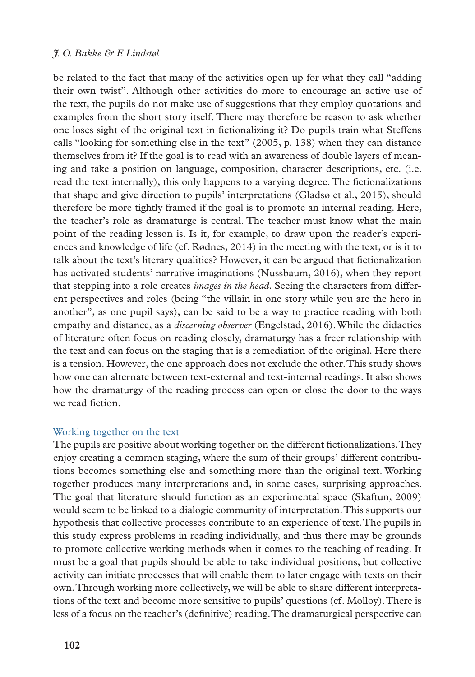be related to the fact that many of the activities open up for what they call "adding their own twist". Although other activities do more to encourage an active use of the text, the pupils do not make use of suggestions that they employ quotations and examples from the short story itself. There may therefore be reason to ask whether one loses sight of the original text in fictionalizing it? Do pupils train what Steffens calls "looking for something else in the text" (2005, p. 138) when they can distance themselves from it? If the goal is to read with an awareness of double layers of meaning and take a position on language, composition, character descriptions, etc. (i.e. read the text internally), this only happens to a varying degree. The fictionalizations that shape and give direction to pupils' interpretations (Gladsø et al., 2015), should therefore be more tightly framed if the goal is to promote an internal reading. Here, the teacher's role as dramaturge is central. The teacher must know what the main point of the reading lesson is. Is it, for example, to draw upon the reader's experiences and knowledge of life (cf. Rødnes, 2014) in the meeting with the text, or is it to talk about the text's literary qualities? However, it can be argued that fictionalization has activated students' narrative imaginations (Nussbaum, 2016), when they report that stepping into a role creates *images in the head*. Seeing the characters from different perspectives and roles (being "the villain in one story while you are the hero in another", as one pupil says), can be said to be a way to practice reading with both empathy and distance, as a *discerning observer* (Engelstad, 2016). While the didactics of literature often focus on reading closely, dramaturgy has a freer relationship with the text and can focus on the staging that is a remediation of the original. Here there is a tension. However, the one approach does not exclude the other. This study shows how one can alternate between text-external and text-internal readings. It also shows how the dramaturgy of the reading process can open or close the door to the ways we read fiction.

#### Working together on the text

The pupils are positive about working together on the different fictionalizations. They enjoy creating a common staging, where the sum of their groups' different contributions becomes something else and something more than the original text. Working together produces many interpretations and, in some cases, surprising approaches. The goal that literature should function as an experimental space (Skaftun, 2009) would seem to be linked to a dialogic community of interpretation. This supports our hypothesis that collective processes contribute to an experience of text. The pupils in this study express problems in reading individually, and thus there may be grounds to promote collective working methods when it comes to the teaching of reading. It must be a goal that pupils should be able to take individual positions, but collective activity can initiate processes that will enable them to later engage with texts on their own. Through working more collectively, we will be able to share different interpretations of the text and become more sensitive to pupils' questions (cf. Molloy). There is less of a focus on the teacher's (definitive) reading. The dramaturgical perspective can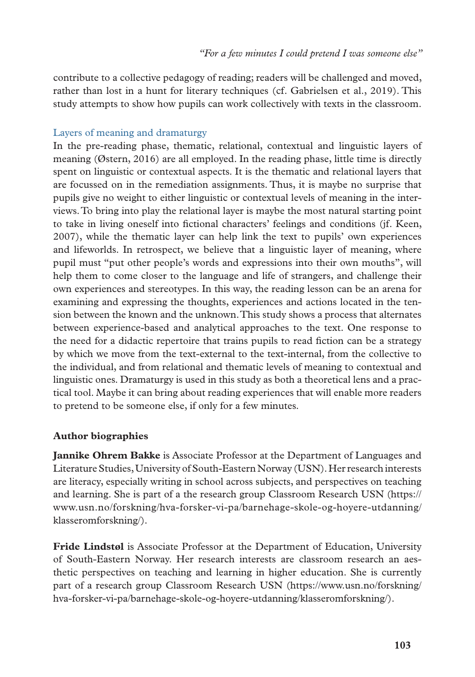contribute to a collective pedagogy of reading; readers will be challenged and moved, rather than lost in a hunt for literary techniques (cf. Gabrielsen et al., 2019). This study attempts to show how pupils can work collectively with texts in the classroom.

## Layers of meaning and dramaturgy

In the pre-reading phase, thematic, relational, contextual and linguistic layers of meaning (Østern, 2016) are all employed. In the reading phase, little time is directly spent on linguistic or contextual aspects. It is the thematic and relational layers that are focussed on in the remediation assignments. Thus, it is maybe no surprise that pupils give no weight to either linguistic or contextual levels of meaning in the interviews. To bring into play the relational layer is maybe the most natural starting point to take in living oneself into fictional characters' feelings and conditions (jf. Keen, 2007), while the thematic layer can help link the text to pupils' own experiences and lifeworlds. In retrospect, we believe that a linguistic layer of meaning, where pupil must "put other people's words and expressions into their own mouths", will help them to come closer to the language and life of strangers, and challenge their own experiences and stereotypes. In this way, the reading lesson can be an arena for examining and expressing the thoughts, experiences and actions located in the tension between the known and the unknown. This study shows a process that alternates between experience-based and analytical approaches to the text. One response to the need for a didactic repertoire that trains pupils to read fiction can be a strategy by which we move from the text-external to the text-internal, from the collective to the individual, and from relational and thematic levels of meaning to contextual and linguistic ones. Dramaturgy is used in this study as both a theoretical lens and a practical tool. Maybe it can bring about reading experiences that will enable more readers to pretend to be someone else, if only for a few minutes.

## **Author biographies**

**Jannike Ohrem Bakke** is Associate Professor at the Department of Languages and Literature Studies, University of South-Eastern Norway (USN). Her research interests are literacy, especially writing in school across subjects, and perspectives on teaching and learning. She is part of a the research group Classroom Research USN (https:// www.usn.no/forskning/hva-forsker-vi-pa/barnehage-skole-og-hoyere-utdanning/ klasseromforskning/).

**Fride Lindstøl** is Associate Professor at the Department of Education, University of South-Eastern Norway. Her research interests are classroom research an aesthetic perspectives on teaching and learning in higher education. She is currently part of a research group Classroom Research USN (https://www.usn.no/forskning/ hva-forsker-vi-pa/barnehage-skole-og-hoyere-utdanning/klasseromforskning/).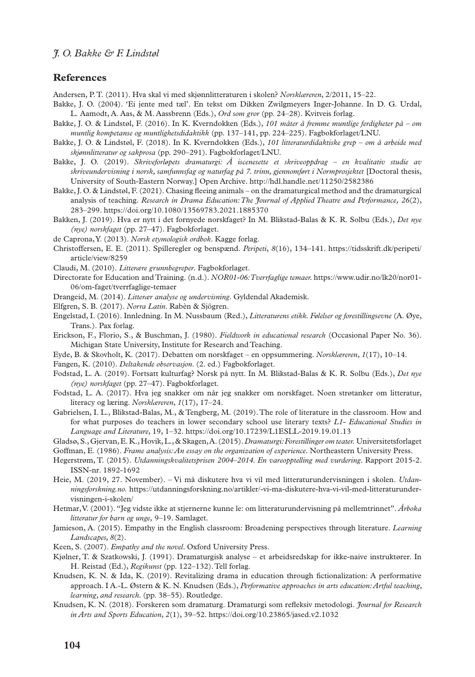#### **References**

Andersen, P. T. (2011). Hva skal vi med skjønnlitteraturen i skolen? *Norsklæreren*, 2/2011, 15–22.

- Bakke, J. O. (2004). 'Ei jente med tæl'. En tekst om Dikken Zwilgmeyers Inger-Johanne. In D. G. Urdal, L. Aamodt, A. Aas, & M. Aassbrenn (Eds.), *Ord som gror* (pp. 24–28). Kvitveis forlag.
- Bakke, J. O. & Lindstøl, F. (2016). In K. Kverndokken (Eds.), *101 måter å fremme muntlige ferdigheter på om muntlig kompetanse og muntlighetsdidaktikk* (pp. 137–141, pp. 224–225). Fagbokforlaget/LNU.
- Bakke, J. O. & Lindstøl, F. (2018). In K. Kverndokken (Eds.), *101 litteraturdidaktiske grep om å arbeide med skjønnlitteratur og sakprosa* (pp. 290–291). Fagbokforlaget/LNU.
- Bakke, J. O. (2019). *Skriveforløpets dramaturgi: Å iscenesette et skriveoppdrag en kvalitativ studie av skriveundervisning i norsk, samfunnsfag og naturfag på 7. trinn, gjennomført i Normprosjektet* [Doctoral thesis, University of South-Eastern Norway.] Open Archive. http://hdl.handle.net/11250/2582386
- Bakke, J. O. & Lindstøl, F. (2021). Chasing fleeing animals on the dramaturgical method and the dramaturgical analysis of teaching. *Research in Drama Education: The Journal of Applied Theatre and Performance, 26*(2), 283–299. https://doi.org/10.1080/13569783.2021.1885370
- Bakken, J. (2019). Hva er nytt i det fornyede norskfaget? In M. Blikstad-Balas & K. R. Solbu (Eds.), *Det nye (nye) norskfaget* (pp. 27–47). Fagbokforlaget.
- de Caprona, Y. (2013). *Norsk etymologisk ordbok*. Kagge forlag.
- Christoffersen, E. E. (2011). Spilleregler og benspænd. *Peripeti*, *8*(16), 134–141. [https://tidsskrift.dk/peripeti/](https://tidsskrift.dk/peripeti/article/view/8259) [article/view/8259](https://tidsskrift.dk/peripeti/article/view/8259)
- Claudi, M. (2010). *Litterære grunnbegreper*. Fagbokforlaget.
- Directorate for Education and Training. (n.d.). *NOR01-06: Tverrfaglige temaer.* https://www.udir.no/lk20/nor01- 06/om-faget/tverrfaglige-temaer
- Drangeid, M. (2014). *Litterær analyse og undervisning*. Gyldendal Akademisk.
- Elfgren, S. B. (2017). *Norra Latin*. Rabèn & Sjögren.
- Engelstad, I. (2016). Innledning. In M. Nussbaum (Red.), *Litteraturens etikk. Følelser og forestillingsevne* (A. Øye, Trans.). Pax forlag.
- Erickson, F., Florio, S., & Buschman, J. (1980). *Fieldwork in educational research* (Occasional Paper No. 36). Michigan State University, Institute for Research and Teaching.
- Eyde, B. & Skovholt, K. (2017). Debatten om norskfaget en oppsummering. *Norsklæreren*, *1*(17), 10–14.

Fangen, K. (2010). *Deltakende observasjon*. (2. ed.) Fagbokforlaget.

- Fodstad, L. A. (2019). Fortsatt kulturfag? Norsk på nytt. In M. Blikstad-Balas & K. R. Solbu (Eds.), *Det nye (nye) norskfaget* (pp. 27–47). Fagbokforlaget.
- Fodstad, L. A. (2017). Hva jeg snakker om når jeg snakker om norskfaget. Noen strøtanker om litteratur, literacy og læring. *Norsklæreren*, *1*(17), 17–24.
- Gabrielsen, I. L., Blikstad-Balas, M., & Tengberg, M. (2019). The role of literature in the classroom. How and for what purposes do teachers in lower secondary school use literary texts? *L1- Educational Studies in Language and Literature*, 19, 1–32. https://doi.org/10.17239/L1ESLL-2019.19.01.13
- Gladsø, S., Gjervan, E. K., Hovik, L., & Skagen, A. (2015). *Dramaturgi: Forestillinger om teater.* Universitetsforlaget
- Goffman, E. (1986). *Frame analysis: An essay on the organization of experience*. Northeastern University Press.
- Hegerstrøm, T. (2015). *Utdanningskvalitetsprisen 2004–2014. En vareopptelling med vurdering*. Rapport 2015-2. ISSN-nr. 1892-1692
- Heie, M. (2019, 27. November). Vi må diskutere hva vi vil med litteraturundervisningen i skolen. *Utdanningsforskning.no.* https://utdanningsforskning.no/artikler/-vi-ma-diskutere-hva-vi-vil-med-litteraturundervisningen-i-skolen/
- Hetmar, V. (2001). "Jeg vidste ikke at stjernerne kunne le: om litteraturundervisning på mellemtrinnet". *Årboka litteratur for barn og unge,* 9–19. Samlaget.
- Jamieson, A. (2015). Empathy in the English classroom: Broadening perspectives through literature. *Learning Landscapes, 8*(2).

Keen, S. (2007). *Empathy and the novel*. Oxford University Press.

- Kjølner, T. & Szatkowski, J. (1991). Dramaturgisk analyse et arbeidsredskap for ikke-naive instruktører. In H. Reistad (Ed.), *Regikunst* (pp. 122–132). Tell forlag.
- Knudsen, K. N. & Ida, K. (2019). Revitalizing drama in education through fictionalization: A performative approach. I A.-L. Østern & K. N. Knudsen (Eds.), *Performative approaches in arts education: Artful teaching, learning, and research*. (pp. 38–55). Routledge.
- Knudsen, K. N. (2018). Forskeren som dramaturg. Dramaturgi som refleksiv metodologi. *Journal for Research in Arts and Sports Education*, *2*(1), 39–52. https://doi.org/10.23865/jased.v2.1032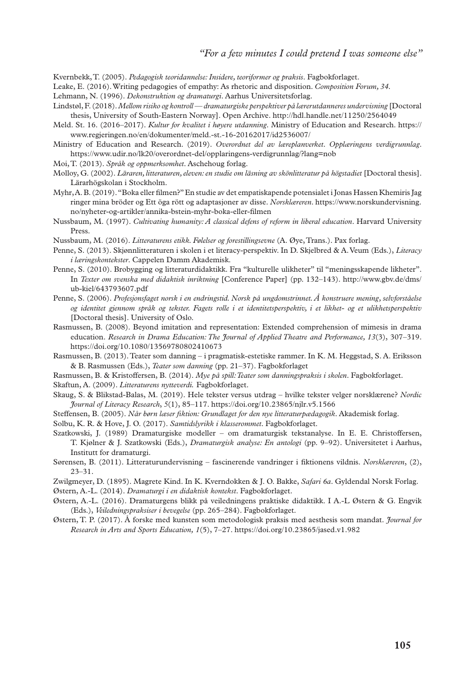Kvernbekk, T. (2005). *Pedagogisk teoridannelse: Insidere, teoriformer og praksis*. Fagbokforlaget.

- Leake, E. (2016). Writing pedagogies of empathy: As rhetoric and disposition. *Composition Forum, 34*.
- Lehmann, N. (1996). *Dekonstruktion og dramaturgi*. Aarhus Universitetsforlag.
- Lindstøl, F. (2018). *Mellom risiko og kontroll dramaturgiske perspektiver på lærerutdanneres undervisning* [Doctoral thesis, University of South-Eastern Norway]. Open Archive. http://hdl.handle.net/11250/2564049
- Meld. St. 16. (2016–2017). *Kultur for kvalitet i høyere utdanning*. Ministry of Education and Research. https:// www.regjeringen.no/en/dokumenter/meld.-st.-16-20162017/id2536007/

Ministry of Education and Research. (2019). *Overordnet del av læreplanverket*. *Opplæringens verdigrunnlag*. https://www.udir.no/lk20/overordnet-del/opplaringens-verdigrunnlag/?lang=nob

- Moi, T. (2013). *Språk og oppmerksomhet*. Aschehoug forlag.
- Molloy, G. (2002). *Läraren, litteraturen, eleven: en studie om läsning av skönlitteratur på högstadiet* [Doctoral thesis]. Lärarhögskolan i Stockholm.
- Myhr, A. B. (2019). "Boka eller filmen?" En studie av det empatiskapende potensialet i Jonas Hassen Khemiris Jag ringer mina bröder og Ett öga rött og adaptasjoner av disse. *Norsklæreren*. [https://www.norskundervisning.](https://www.norskundervisning.no/nyheter-og-artikler/annika-bstein-myhr-boka-eller-filmen) [no/nyheter-og-artikler/annika-bstein-myhr-boka-eller-filmen](https://www.norskundervisning.no/nyheter-og-artikler/annika-bstein-myhr-boka-eller-filmen)
- Nussbaum, M. (1997). *Cultivating humanity: A classical defens of reform in liberal education*. Harvard University Press.
- Nussbaum, M. (2016). *Litteraturens etikk. Følelser og forestillingsevne* (A. Øye, Trans.). Pax forlag.
- Penne, S. (2013). Skjønnlitteraturen i skolen i et literacy-perspektiv. In D. Skjelbred & A. Veum (Eds.), *Literacy i læringskontekster*. Cappelen Damm Akademisk.
- Penne, S. (2010). Brobygging og litteraturdidaktikk. Fra "kulturelle ulikheter" til "meningsskapende likheter". In *Texter om svenska med didaktisk inriktning* [Conference Paper] (pp. 132–143). [http://www.gbv.de/dms/](http://www.gbv.de/dms/ub-kiel/643793607.pdf) [ub-kiel/643793607.pdf](http://www.gbv.de/dms/ub-kiel/643793607.pdf)
- Penne, S. (2006). *Profesjonsfaget norsk i en endringstid. Norsk på ungdomstrinnet. Å konstruere mening, selvforståelse og identitet gjennom språk og tekster. Fagets rolle i et identitetsperspektiv, i et likhet- og et ulikhetsperspektiv*  [Doctoral thesis]. University of Oslo.
- Rasmussen, B. (2008). Beyond imitation and representation: Extended comprehension of mimesis in drama education. *Research in Drama Education: The Journal of Applied Theatre and Performance, 13*(3), 307–319. https://doi.org/10.1080/13569780802410673
- Rasmussen, B. (2013). Teater som danning i pragmatisk-estetiske rammer. In K. M. Heggstad, S. A. Eriksson & B. Rasmussen (Eds.), *Teater som danning* (pp. 21–37). Fagbokforlaget
- Rasmussen, B. & Kristoffersen, B. (2014). *Mye på spill: Teater som danningspraksis i skolen*. Fagbokforlaget. Skaftun, A. (2009). *Litteraturens nytteverdi.* Fagbokforlaget.
- Skaug, S. & Blikstad-Balas, M. (2019). Hele tekster versus utdrag hvilke tekster velger norsklærene? *Nordic Journal of Literacy Research*, *5*(1), 85–117. https://doi.org/10.23865/njlr.v5.1566
- Steffensen, B. (2005). *Når børn læser fiktion: Grundlaget for den nye litteraturpædagogik*. Akademisk forlag.
- Solbu, K. R. & Hove, J. O. (2017). *Samtidslyrikk i klasserommet*. Fagbokforlaget.
- Szatkowski, J. (1989) Dramaturgiske modeller om dramaturgisk tekstanalyse. In E. E. Christoffersen, T. Kjølner & J. Szatkowski (Eds.), *Dramaturgisk analyse: En antologi* (pp. 9–92). Universitetet i Aarhus, Institutt for dramaturgi.
- Sørensen, B. (2011). Litteraturundervisning fascinerende vandringer i fiktionens vildnis. *Norsklæreren*, (2), 23–31.
- Zwilgmeyer, D. (1895). Magrete Kind. In K. Kverndokken & J. O. Bakke, *Safari 6a*. Gyldendal Norsk Forlag.
- Østern, A.-L. (2014). *Dramaturgi i en didaktisk kontekst*. Fagbokforlaget.
- Østern, A.-L. (2016). Dramaturgens blikk på veiledningens praktiske didaktikk. I A.-L Østern & G. Engvik (Eds.), *Veiledningspraksiser i bevegelse* (pp. 265–284). Fagbokforlaget.
- Østern, T. P. (2017). Å forske med kunsten som metodologisk praksis med aesthesis som mandat. *Journal for Research in Arts and Sports Education, 1*(5), 7–27. https://doi.org/10.23865/jased.v1.982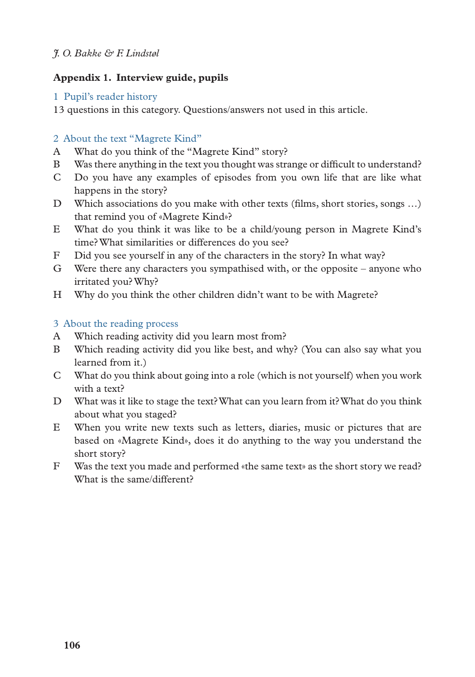# **Appendix 1. Interview guide, pupils**

## 1 Pupil's reader history

13 questions in this category. Questions/answers not used in this article.

## 2 About the text "Magrete Kind"

- A What do you think of the "Magrete Kind" story?
- B Was there anything in the text you thought was strange or difficult to understand?
- C Do you have any examples of episodes from you own life that are like what happens in the story?
- D Which associations do you make with other texts (films, short stories, songs …) that remind you of «Magrete Kind»?
- E What do you think it was like to be a child/young person in Magrete Kind's time? What similarities or differences do you see?
- F Did you see yourself in any of the characters in the story? In what way?
- G Were there any characters you sympathised with, or the opposite anyone who irritated you? Why?
- H Why do you think the other children didn't want to be with Magrete?

## 3 About the reading process

- A Which reading activity did you learn most from?
- B Which reading activity did you like best, and why? (You can also say what you learned from it.)
- C What do you think about going into a role (which is not yourself) when you work with a text?
- D What was it like to stage the text? What can you learn from it? What do you think about what you staged?
- E When you write new texts such as letters, diaries, music or pictures that are based on «Magrete Kind», does it do anything to the way you understand the short story?
- F Was the text you made and performed «the same text» as the short story we read? What is the same/different?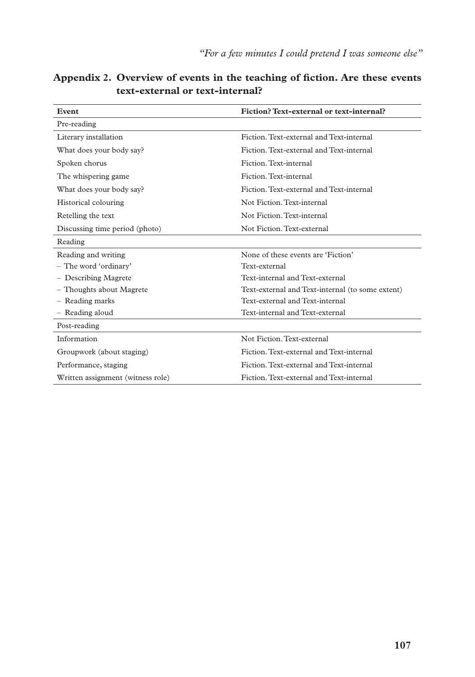| Event                             | Fiction? Text-external or text-internal?         |  |  |
|-----------------------------------|--------------------------------------------------|--|--|
| Pre-reading                       |                                                  |  |  |
| Literary installation             | Fiction. Text-external and Text-internal         |  |  |
| What does your body say?          | Fiction. Text-external and Text-internal         |  |  |
| Spoken chorus                     | Fiction. Text-internal                           |  |  |
| The whispering game.              | Fiction. Text-internal                           |  |  |
| What does your body say?          | Fiction. Text-external and Text-internal         |  |  |
| Historical colouring              | Not Fiction. Text-internal                       |  |  |
| Retelling the text                | Not Fiction. Text-internal                       |  |  |
| Discussing time period (photo)    | Not Fiction. Text-external                       |  |  |
| Reading                           |                                                  |  |  |
| Reading and writing               | None of these events are 'Fiction'               |  |  |
| - The word 'ordinary'             | Text-external                                    |  |  |
| - Describing Magrete              | Text-internal and Text-external                  |  |  |
| - Thoughts about Magrete          | Text-external and Text-internal (to some extent) |  |  |
| - Reading marks                   | Text-external and Text-internal                  |  |  |
| - Reading aloud                   | Text-internal and Text-external                  |  |  |
| Post-reading                      |                                                  |  |  |
| Information                       | Not Fiction. Text-external                       |  |  |
| Groupwork (about staging)         | Fiction. Text-external and Text-internal         |  |  |
| Performance, staging              | Fiction. Text-external and Text-internal         |  |  |
| Written assignment (witness role) | Fiction. Text-external and Text-internal         |  |  |

**Appendix 2. Overview of events in the teaching of fiction. Are these events text-external or text-internal?**